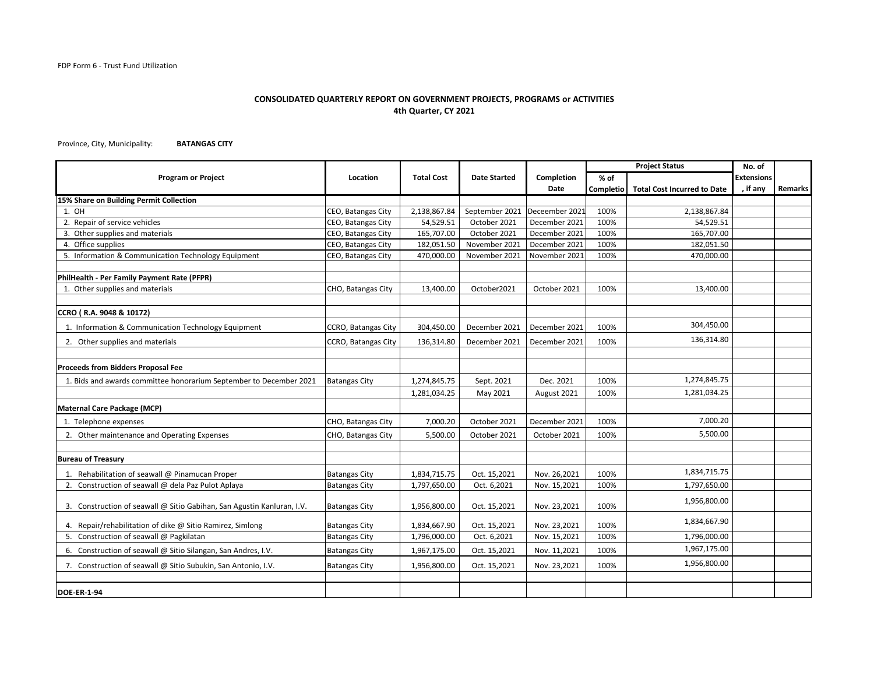## **CONSOLIDATED QUARTERLY REPORT ON GOVERNMENT PROJECTS, PROGRAMS or ACTIVITIES 4th Quarter, CY 2021**

Province, City, Municipality: **BATANGAS CITY**

|                                                                        |                      |                   |                     |                | <b>Project Status</b> |                                    | No. of            |         |
|------------------------------------------------------------------------|----------------------|-------------------|---------------------|----------------|-----------------------|------------------------------------|-------------------|---------|
| <b>Program or Project</b>                                              | Location             | <b>Total Cost</b> | <b>Date Started</b> | Completion     | $%$ of                |                                    | <b>Extensions</b> |         |
|                                                                        |                      |                   |                     | Date           | Completio             | <b>Total Cost Incurred to Date</b> | , if any          | Remarks |
| 15% Share on Building Permit Collection                                |                      |                   |                     |                |                       |                                    |                   |         |
| 1. OH                                                                  | CEO, Batangas City   | 2,138,867.84      | September 2021      | Deceember 2021 | 100%                  | 2,138,867.84                       |                   |         |
| 2. Repair of service vehicles                                          | CEO, Batangas City   | 54,529.51         | October 2021        | December 2021  | 100%                  | 54,529.51                          |                   |         |
| 3. Other supplies and materials                                        | CEO, Batangas City   | 165,707.00        | October 2021        | December 2021  | 100%                  | 165,707.00                         |                   |         |
| 4. Office supplies                                                     | CEO, Batangas City   | 182,051.50        | November 2021       | December 2021  | 100%                  | 182,051.50                         |                   |         |
| 5. Information & Communication Technology Equipment                    | CEO, Batangas City   | 470,000.00        | November 2021       | November 2021  | 100%                  | 470,000.00                         |                   |         |
| PhilHealth - Per Family Payment Rate (PFPR)                            |                      |                   |                     |                |                       |                                    |                   |         |
| 1. Other supplies and materials                                        | CHO, Batangas City   | 13,400.00         | October2021         | October 2021   | 100%                  | 13,400.00                          |                   |         |
|                                                                        |                      |                   |                     |                |                       |                                    |                   |         |
| CCRO (R.A. 9048 & 10172)                                               |                      |                   |                     |                |                       |                                    |                   |         |
| 1. Information & Communication Technology Equipment                    | CCRO, Batangas City  | 304,450.00        | December 2021       | December 2021  | 100%                  | 304,450.00                         |                   |         |
| 2. Other supplies and materials                                        | CCRO, Batangas City  | 136,314.80        | December 2021       | December 2021  | 100%                  | 136,314.80                         |                   |         |
|                                                                        |                      |                   |                     |                |                       |                                    |                   |         |
| Proceeds from Bidders Proposal Fee                                     |                      |                   |                     |                |                       |                                    |                   |         |
| 1. Bids and awards committee honorarium September to December 2021     | <b>Batangas City</b> | 1,274,845.75      | Sept. 2021          | Dec. 2021      | 100%                  | 1,274,845.75                       |                   |         |
|                                                                        |                      | 1,281,034.25      | May 2021            | August 2021    | 100%                  | 1,281,034.25                       |                   |         |
| <b>Maternal Care Package (MCP)</b>                                     |                      |                   |                     |                |                       |                                    |                   |         |
| 1. Telephone expenses                                                  | CHO, Batangas City   | 7,000.20          | October 2021        | December 2021  | 100%                  | 7,000.20                           |                   |         |
| 2. Other maintenance and Operating Expenses                            | CHO, Batangas City   | 5,500.00          | October 2021        | October 2021   | 100%                  | 5,500.00                           |                   |         |
|                                                                        |                      |                   |                     |                |                       |                                    |                   |         |
| <b>Bureau of Treasury</b>                                              |                      |                   |                     |                |                       |                                    |                   |         |
| 1. Rehabilitation of seawall @ Pinamucan Proper                        | <b>Batangas City</b> | 1,834,715.75      | Oct. 15,2021        | Nov. 26,2021   | 100%                  | 1,834,715.75                       |                   |         |
| 2. Construction of seawall @ dela Paz Pulot Aplaya                     | <b>Batangas City</b> | 1,797,650.00      | Oct. 6,2021         | Nov. 15,2021   | 100%                  | 1,797,650.00                       |                   |         |
| 3. Construction of seawall @ Sitio Gabihan, San Agustin Kanluran, I.V. | <b>Batangas City</b> | 1,956,800.00      | Oct. 15,2021        | Nov. 23,2021   | 100%                  | 1,956,800.00                       |                   |         |
| 4. Repair/rehabilitation of dike @ Sitio Ramirez, Simlong              | <b>Batangas City</b> | 1,834,667.90      | Oct. 15,2021        | Nov. 23,2021   | 100%                  | 1,834,667.90                       |                   |         |
| 5. Construction of seawall @ Pagkilatan                                | <b>Batangas City</b> | 1,796,000.00      | Oct. 6,2021         | Nov. 15,2021   | 100%                  | 1,796,000.00                       |                   |         |
| 6. Construction of seawall @ Sitio Silangan, San Andres, I.V.          | <b>Batangas City</b> | 1,967,175.00      | Oct. 15,2021        | Nov. 11,2021   | 100%                  | 1,967,175.00                       |                   |         |
| 7. Construction of seawall @ Sitio Subukin, San Antonio, I.V.          | <b>Batangas City</b> | 1,956,800.00      | Oct. 15,2021        | Nov. 23,2021   | 100%                  | 1,956,800.00                       |                   |         |
|                                                                        |                      |                   |                     |                |                       |                                    |                   |         |
| <b>DOE-ER-1-94</b>                                                     |                      |                   |                     |                |                       |                                    |                   |         |